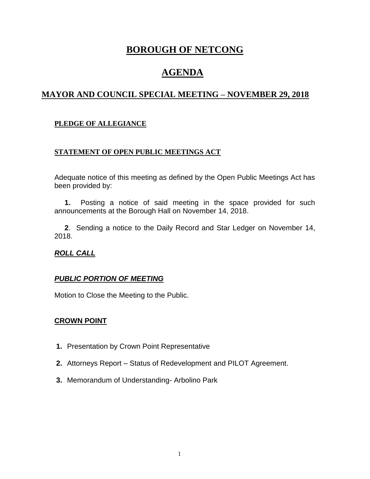# **BOROUGH OF NETCONG**

# **AGENDA**

## **MAYOR AND COUNCIL SPECIAL MEETING – NOVEMBER 29, 2018**

#### **PLEDGE OF ALLEGIANCE**

#### **STATEMENT OF OPEN PUBLIC MEETINGS ACT**

Adequate notice of this meeting as defined by the Open Public Meetings Act has been provided by:

 **1.** Posting a notice of said meeting in the space provided for such announcements at the Borough Hall on November 14, 2018.

 **2**. Sending a notice to the Daily Record and Star Ledger on November 14, 2018.

#### *ROLL CALL*

#### *PUBLIC PORTION OF MEETING*

Motion to Close the Meeting to the Public.

#### **CROWN POINT**

- **1.** Presentation by Crown Point Representative
- **2.** Attorneys Report Status of Redevelopment and PILOT Agreement.
- **3.** Memorandum of Understanding- Arbolino Park